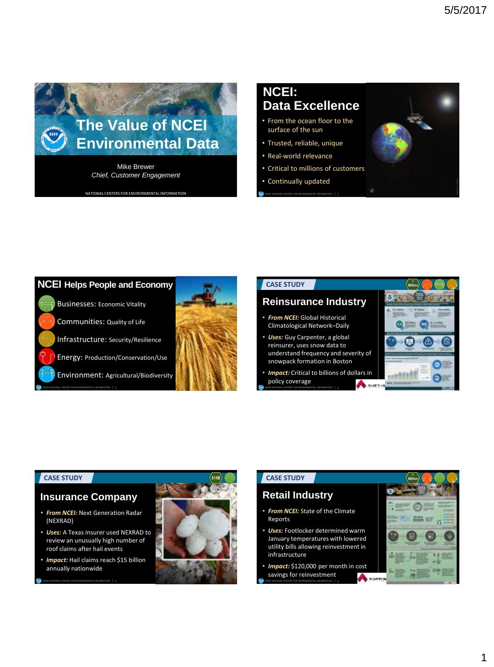

NATIONAL CENTERS FOR ENVIRONMENTAL INFORMATION **1999** NOAA NATIONAL CENTERS FOR ENVIRONMENTAL INFORMATION | 2

# **NCEI: Data Excellence**

- From the ocean floor to the surface of the sun
- Trusted, reliable, unique
- Real-world relevance
- Critical to millions of customers
- Continually updated



## **CASE STUDY**

## **Reinsurance Industry**

- *From NCEI:* Global Historical Climatological Network–Daily
- *Uses:* Guy Carpenter, a global reinsurer, uses snow data to understand frequency and severity of snowpack formation in Boston
- *Impact:* Critical to billions of dollars in policy coverage **A** MARYL

NOAA NATIONAL CENTERS FOR ENVIRONMENTAL INFORMATION | 4



#### **CASE STUDY**

### **Insurance Company**

- *From NCEI:* Next Generation Radar (NEXRAD)
- *Uses:* A Texas insurer used NEXRAD to review an unusually high number of roof claims after hail events
- *Impact:* Hail claims reach \$15 billion annually nationwide

NOAA NATIONAL CENTERS FOR ENVIRONMENTAL INFORMATION | 5



©iStockPhoto\_

## **CASE STUDY**

## **Retail Industry**

- *From NCEI:* State of the Climate Reports
- **Uses:** Footlocker determined warm January temperatures with lowered utility bills allowing reinvestment in infrastructure
- *Impact:* \$120,000 per month in cost savings for reinvestment

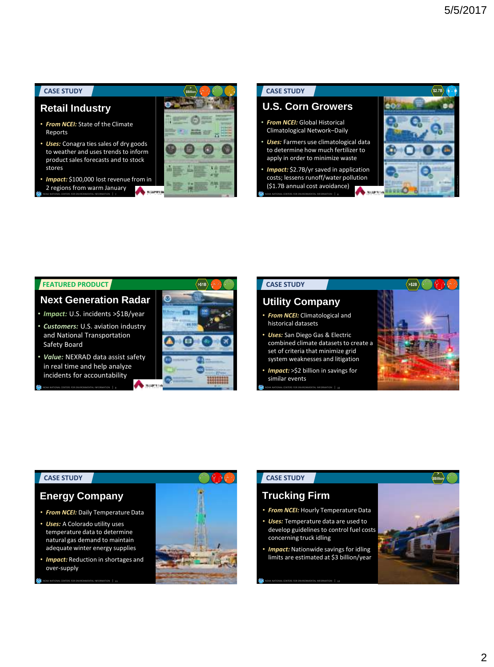### **CASE STUDY**

## **Retail Industry**

- *From NCEI:* State of the Climate Reports
- *Uses:* Conagra ties sales of dry goods to weather and uses trends to inform product sales forecasts and to stock stores
- *Impact:* \$100,000 lost revenue from in 2 regions from warm January

NOAA NATIONAL CENTERS FOR ENVIRONMENTAL INFORMATION | 7



### **CASE STUDY**

## **U.S. Corn Growers**

- *From NCEI:* Global Historical Climatological Network–Daily
- *Uses:* Farmers use climatological data to determine how much fertilizer to apply in order to minimize waste
- *Impact:* \$2.7B/yr saved in application costs; lessens runoff/water pollution (\$1.7B annual cost avoidance)

NOAA NATIONAL CENTERS FOR ENVIRONMENTAL INFORMATION | 8



#### **FEATURED PRODUCT**

## **Next Generation Radar**

- *Impact:* U.S. incidents >\$1B/year
- *Customers:* U.S. aviation industry and National Transportation Safety Board
- *Value:* NEXRAD data assist safety in real time and help analyze incidents for accountability

NOAA NATIONAL CENTERS FOR ENVIRONMENTAL INFORMATION | 9



## **CASE STUDY >\$2B >\$**

## **Utility Company**

- *From NCEI:* Climatological and historical datasets
- *Uses:* San Diego Gas & Electric combined climate datasets to create a set of criteria that minimize grid system weaknesses and litigation
- similar events
- 



#### **CASE STUDY**

## **Energy Company**

- *From NCEI:* Daily Temperature Data
- *Uses:* A Colorado utility uses temperature data to determine natural gas demand to maintain adequate winter energy supplies
- *Impact:* Reduction in shortages and over-supply

NOAA NATIONAL CENTERS FOR ENVIRONMENTAL INFORMATION | 11



### **CASE STUDY**

## **Trucking Firm**

- *From NCEI:* Hourly Temperature Data
- *Uses:* Temperature data are used to develop guidelines to control fuel costs concerning truck idling
- *Impact:* Nationwide savings for idling limits are estimated at \$3 billion/year

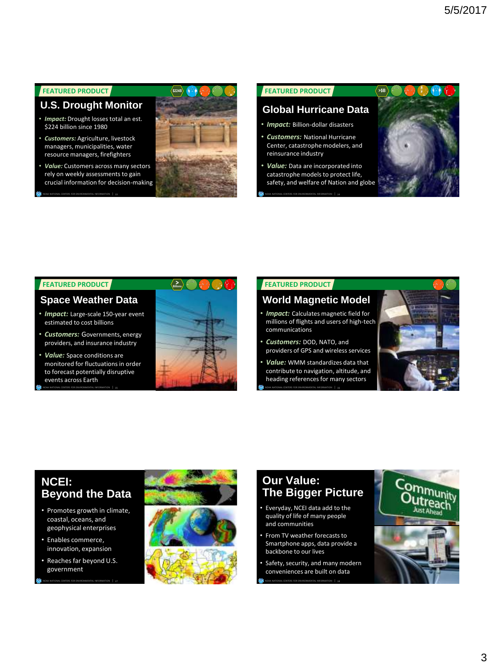## **FEATURED PRODUCT**

**U.S. Drought Monitor**

- *Impact:* Drought losses total an est. \$224 billion since 1980
- *Customers:* Agriculture, livestock managers, municipalities, water resource managers, firefighters

NOAA NATIONAL CENTERS FOR ENVIRONMENTAL INFORMATION | 13

• *Value:* Customers across many sectors rely on weekly assessments to gain crucial information for decision-making



#### **FEATURED PRODUCT**

### **Global Hurricane Data**

• *Impact:* Billion-dollar disasters

NOAA NATIONAL CENTERS FOR ENVIRONMENTAL INFORMATION | 14

- *Customers:* National Hurricane Center, catastrophe modelers, and reinsurance industry
- *Value:* Data are incorporated into catastrophe models to protect life, safety, and welfare of Nation and globe



#### **FEATURED PRODUCT**

## **Space Weather Data**

- *Impact:* Large-scale 150-year event estimated to cost billions
- *Customers:* Governments, energy providers, and insurance industry
- *Value:* Space conditions are monitored for fluctuations in order to forecast potentially disruptive events across Earth

NOAA NATIONAL CENTERS FOR ENVIRONMENTAL INFORMATION | 15



#### **FEATURED PRODUCT**

## **World Magnetic Model**

- **Impact:** Calculates magnetic field for millions of flights and users of high-tech communications
- *Customers:* DOD, NATO, and providers of GPS and wireless services
- *Value:* WMM standardizes data that contribute to navigation, altitude, and heading references for many sectors
- NOAA NATIONAL CENTERS FOR ENVIRONMENTAL INFORMATION | 16



## **NCEI: Beyond the Data**

- Promotes growth in climate, coastal, oceans, and geophysical enterprises
- Enables commerce, innovation, expansion
- Reaches far beyond U.S. government

NOAA NATIONAL CENTERS FOR ENVIRONMENTAL INFORMATION | 17



# **Our Value: The Bigger Picture**

- Everyday, NCEI data add to the quality of life of many people and communities
- From TV weather forecasts to Smartphone apps, data provide a backbone to our lives
- Safety, security, and many modern conveniences are built on data